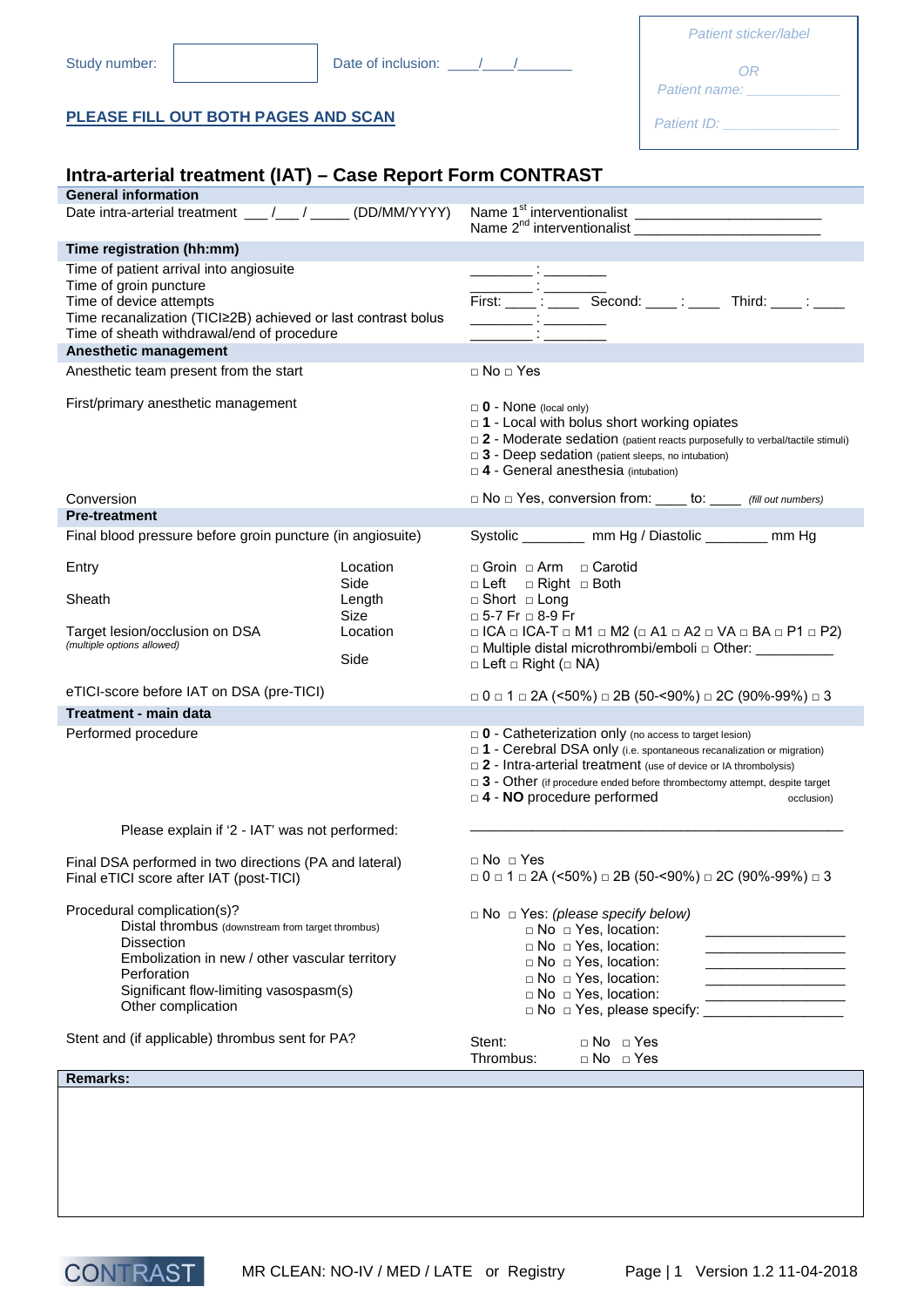| Date of inclusion: 1 / /<br>Study number:<br>PLEASE FILL OUT BOTH PAGES AND SCAN<br>Intra-arterial treatment (IAT) - Case Report Form CONTRAST<br><b>General information</b><br>Date intra-arterial treatment __/__/___/ (DD/MM/YYYY)<br>Time registration (hh:mm)<br>Time of patient arrival into angiosuite<br>Time of groin puncture<br>Time of device attempts<br>Time recanalization (TICl≥2B) achieved or last contrast bolus<br>Time of sheath withdrawal/end of procedure<br>Anesthetic management<br>$\Box$ No $\Box$ Yes<br>Anesthetic team present from the start<br>First/primary anesthetic management<br>Conversion<br><b>Pre-treatment</b><br>Final blood pressure before groin puncture (in angiosuite)<br>Location<br>Entry<br>Side<br>Sheath<br>Length<br><b>Size</b><br>Target lesion/occlusion on DSA<br>Location<br>(multiple options allowed)<br>Side<br>eTICI-score before IAT on DSA (pre-TICI)<br>Treatment - main data<br>Performed procedure<br>Please explain if '2 - IAT' was not performed:<br>Final DSA performed in two directions (PA and lateral)<br>Final eTICI score after IAT (post-TICI)<br>Procedural complication(s)? | OR.<br>Patient name: North and the set of the set of the set of the set of the set of the set of the set of the set o<br>Patient ID: Value of Alberta Container<br>Name $2^{nd}$ interventionalist                                                                                                                                                           |
|---------------------------------------------------------------------------------------------------------------------------------------------------------------------------------------------------------------------------------------------------------------------------------------------------------------------------------------------------------------------------------------------------------------------------------------------------------------------------------------------------------------------------------------------------------------------------------------------------------------------------------------------------------------------------------------------------------------------------------------------------------------------------------------------------------------------------------------------------------------------------------------------------------------------------------------------------------------------------------------------------------------------------------------------------------------------------------------------------------------------------------------------------------------|--------------------------------------------------------------------------------------------------------------------------------------------------------------------------------------------------------------------------------------------------------------------------------------------------------------------------------------------------------------|
|                                                                                                                                                                                                                                                                                                                                                                                                                                                                                                                                                                                                                                                                                                                                                                                                                                                                                                                                                                                                                                                                                                                                                               |                                                                                                                                                                                                                                                                                                                                                              |
|                                                                                                                                                                                                                                                                                                                                                                                                                                                                                                                                                                                                                                                                                                                                                                                                                                                                                                                                                                                                                                                                                                                                                               |                                                                                                                                                                                                                                                                                                                                                              |
|                                                                                                                                                                                                                                                                                                                                                                                                                                                                                                                                                                                                                                                                                                                                                                                                                                                                                                                                                                                                                                                                                                                                                               |                                                                                                                                                                                                                                                                                                                                                              |
|                                                                                                                                                                                                                                                                                                                                                                                                                                                                                                                                                                                                                                                                                                                                                                                                                                                                                                                                                                                                                                                                                                                                                               |                                                                                                                                                                                                                                                                                                                                                              |
|                                                                                                                                                                                                                                                                                                                                                                                                                                                                                                                                                                                                                                                                                                                                                                                                                                                                                                                                                                                                                                                                                                                                                               |                                                                                                                                                                                                                                                                                                                                                              |
|                                                                                                                                                                                                                                                                                                                                                                                                                                                                                                                                                                                                                                                                                                                                                                                                                                                                                                                                                                                                                                                                                                                                                               |                                                                                                                                                                                                                                                                                                                                                              |
|                                                                                                                                                                                                                                                                                                                                                                                                                                                                                                                                                                                                                                                                                                                                                                                                                                                                                                                                                                                                                                                                                                                                                               | First: _______ : _______ Second: _____ : _______ Third: ______ : _____                                                                                                                                                                                                                                                                                       |
|                                                                                                                                                                                                                                                                                                                                                                                                                                                                                                                                                                                                                                                                                                                                                                                                                                                                                                                                                                                                                                                                                                                                                               |                                                                                                                                                                                                                                                                                                                                                              |
|                                                                                                                                                                                                                                                                                                                                                                                                                                                                                                                                                                                                                                                                                                                                                                                                                                                                                                                                                                                                                                                                                                                                                               | $\Box$ 0 - None (local only)<br>$\Box$ 1 - Local with bolus short working opiates<br>$\Box$ 2 - Moderate sedation (patient reacts purposefully to verbal/tactile stimuli)<br>$\Box$ 3 - Deep sedation (patient sleeps, no intubation)<br>$\Box$ 4 - General anesthesia (intubation)                                                                          |
|                                                                                                                                                                                                                                                                                                                                                                                                                                                                                                                                                                                                                                                                                                                                                                                                                                                                                                                                                                                                                                                                                                                                                               | $\Box$ No $\Box$ Yes, conversion from: _____ to: _____ (fill out numbers)                                                                                                                                                                                                                                                                                    |
|                                                                                                                                                                                                                                                                                                                                                                                                                                                                                                                                                                                                                                                                                                                                                                                                                                                                                                                                                                                                                                                                                                                                                               |                                                                                                                                                                                                                                                                                                                                                              |
|                                                                                                                                                                                                                                                                                                                                                                                                                                                                                                                                                                                                                                                                                                                                                                                                                                                                                                                                                                                                                                                                                                                                                               | Systolic ____________ mm Hg / Diastolic __________ mm Hg                                                                                                                                                                                                                                                                                                     |
|                                                                                                                                                                                                                                                                                                                                                                                                                                                                                                                                                                                                                                                                                                                                                                                                                                                                                                                                                                                                                                                                                                                                                               | □ Groin □ Arm □ Carotid<br>□ Left □ Right □ Both                                                                                                                                                                                                                                                                                                             |
|                                                                                                                                                                                                                                                                                                                                                                                                                                                                                                                                                                                                                                                                                                                                                                                                                                                                                                                                                                                                                                                                                                                                                               | $\Box$ Short $\Box$ Long                                                                                                                                                                                                                                                                                                                                     |
|                                                                                                                                                                                                                                                                                                                                                                                                                                                                                                                                                                                                                                                                                                                                                                                                                                                                                                                                                                                                                                                                                                                                                               | $\Box$ 5-7 Fr $\Box$ 8-9 Fr<br>$\Box$ ICA $\Box$ ICA-T $\Box$ M1 $\Box$ M2 ( $\Box$ A1 $\Box$ A2 $\Box$ VA $\Box$ BA $\Box$ P1 $\Box$ P2)<br>□ Multiple distal microthrombi/emboli □ Other: ________________________________<br>$\Box$ Left $\Box$ Right ( $\Box$ NA)                                                                                        |
|                                                                                                                                                                                                                                                                                                                                                                                                                                                                                                                                                                                                                                                                                                                                                                                                                                                                                                                                                                                                                                                                                                                                                               | □ 0 □ 1 □ 2A (<50%) □ 2B (50-<90%) □ 2C (90%-99%) □ 3                                                                                                                                                                                                                                                                                                        |
|                                                                                                                                                                                                                                                                                                                                                                                                                                                                                                                                                                                                                                                                                                                                                                                                                                                                                                                                                                                                                                                                                                                                                               |                                                                                                                                                                                                                                                                                                                                                              |
|                                                                                                                                                                                                                                                                                                                                                                                                                                                                                                                                                                                                                                                                                                                                                                                                                                                                                                                                                                                                                                                                                                                                                               | $\Box$ 0 - Catheterization only (no access to target lesion)<br>$\Box$ 1 - Cerebral DSA only (i.e. spontaneous recanalization or migration)<br>$\Box$ 2 - Intra-arterial treatment (use of device or IA thrombolysis)<br>$\Box$ 3 - Other (if procedure ended before thrombectomy attempt, despite target<br>$\Box$ 4 - NO procedure performed<br>occlusion) |
|                                                                                                                                                                                                                                                                                                                                                                                                                                                                                                                                                                                                                                                                                                                                                                                                                                                                                                                                                                                                                                                                                                                                                               |                                                                                                                                                                                                                                                                                                                                                              |
|                                                                                                                                                                                                                                                                                                                                                                                                                                                                                                                                                                                                                                                                                                                                                                                                                                                                                                                                                                                                                                                                                                                                                               | $\sqcap$ No $\sqcap$ Yes<br>$\Box$ 0 $\Box$ 1 $\Box$ 2A (<50%) $\Box$ 2B (50-<90%) $\Box$ 2C (90%-99%) $\Box$ 3                                                                                                                                                                                                                                              |
| Distal thrombus (downstream from target thrombus)<br><b>Dissection</b><br>Embolization in new / other vascular territory<br>Perforation<br>Significant flow-limiting vasospasm(s)<br>Other complication                                                                                                                                                                                                                                                                                                                                                                                                                                                                                                                                                                                                                                                                                                                                                                                                                                                                                                                                                       | $\Box$ No $\Box$ Yes: (please specify below)<br>□ No □ Yes, location:<br>$\Box$ No $\Box$ Yes, location:<br>the control of the control of the                                                                                                                                                                                                                |
| Stent and (if applicable) thrombus sent for PA?<br>Stent:                                                                                                                                                                                                                                                                                                                                                                                                                                                                                                                                                                                                                                                                                                                                                                                                                                                                                                                                                                                                                                                                                                     | □ No □ Yes, location:<br><u> 1980 - John Harrison, mars et al.</u><br>$\Box$ No $\Box$ Yes, location:<br>□ No □ Yes, location:<br>□ No □ Yes, please specify:<br>the control of the control of the control of                                                                                                                                                |
| <b>Remarks:</b>                                                                                                                                                                                                                                                                                                                                                                                                                                                                                                                                                                                                                                                                                                                                                                                                                                                                                                                                                                                                                                                                                                                                               | $\Box$ No $\Box$ Yes<br>Thrombus:<br>$\Box$ No $\Box$ Yes                                                                                                                                                                                                                                                                                                    |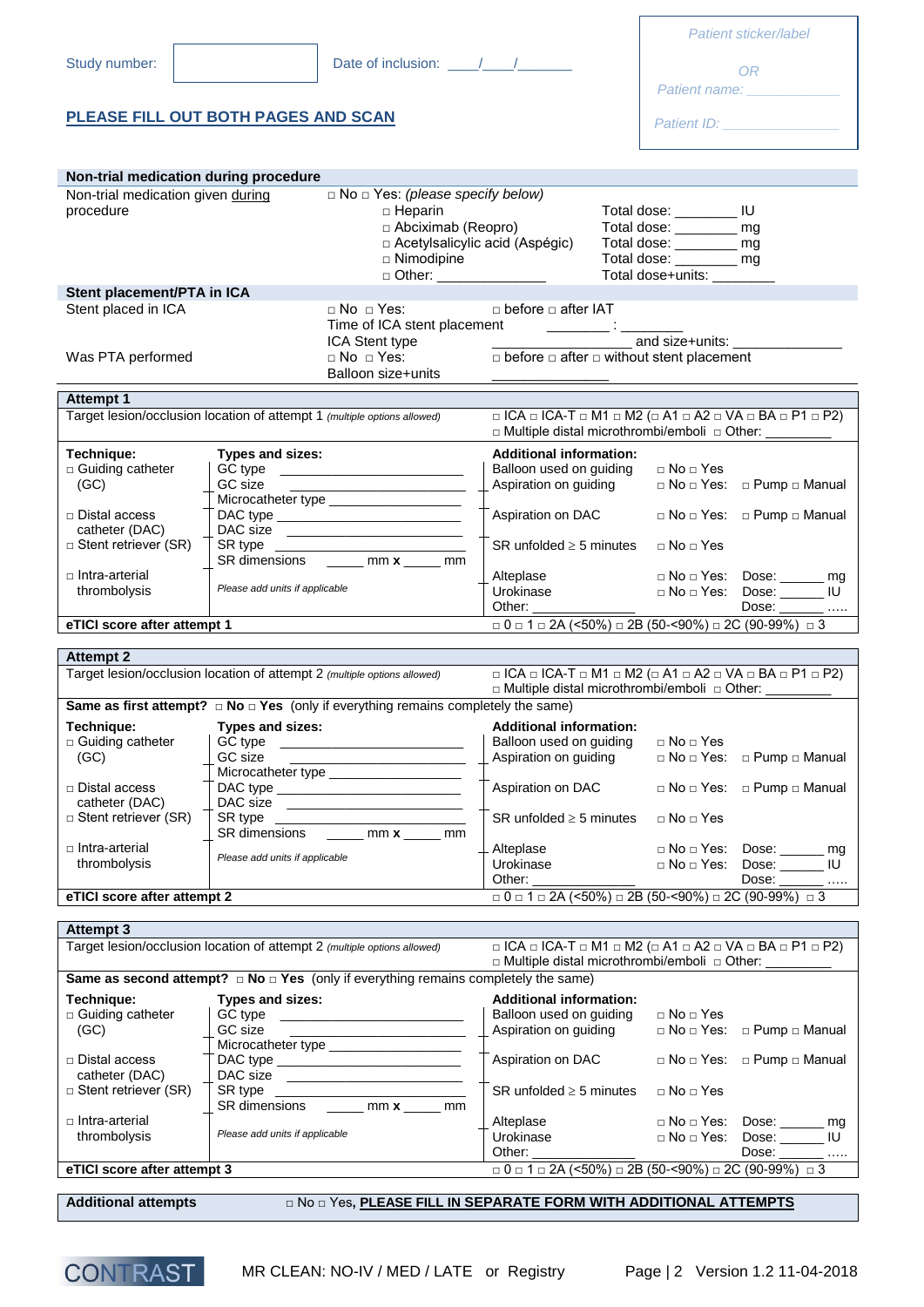|                                                                          |                                |                                                                                                                   |                                                                                                            |                                                        | Patient sticker/label                                      |
|--------------------------------------------------------------------------|--------------------------------|-------------------------------------------------------------------------------------------------------------------|------------------------------------------------------------------------------------------------------------|--------------------------------------------------------|------------------------------------------------------------|
| Study number:                                                            |                                |                                                                                                                   |                                                                                                            |                                                        |                                                            |
|                                                                          |                                |                                                                                                                   |                                                                                                            |                                                        | OR.                                                        |
|                                                                          |                                |                                                                                                                   |                                                                                                            |                                                        |                                                            |
| PLEASE FILL OUT BOTH PAGES AND SCAN                                      |                                |                                                                                                                   |                                                                                                            |                                                        |                                                            |
|                                                                          |                                |                                                                                                                   |                                                                                                            |                                                        |                                                            |
| Non-trial medication during procedure                                    |                                |                                                                                                                   |                                                                                                            |                                                        |                                                            |
| Non-trial medication given during                                        |                                | $\Box$ No $\Box$ Yes: (please specify below)                                                                      |                                                                                                            |                                                        |                                                            |
| procedure                                                                |                                | $\Box$ Heparin<br>□ Abciximab (Reopro)                                                                            |                                                                                                            | Total dose: __________ IU<br>Total dose: ________ mg   |                                                            |
|                                                                          |                                | □ Acetylsalicylic acid (Aspégic)                                                                                  |                                                                                                            | Total dose: _______ mg                                 |                                                            |
|                                                                          |                                | $\Box$ Nimodipine<br>□ Other: ________________                                                                    |                                                                                                            | Total dose: ________ mg<br>Total dose+units: _________ |                                                            |
| Stent placement/PTA in ICA                                               |                                |                                                                                                                   |                                                                                                            |                                                        |                                                            |
| Stent placed in ICA                                                      |                                | $\Box$ No $\Box$ Yes:                                                                                             | $\Box$ before $\Box$ after IAT<br>Time of ICA stent placement ______________: ____                         |                                                        |                                                            |
|                                                                          |                                | ICA Stent type<br>□ No □ Yes:                                                                                     |                                                                                                            | and size+units:                                        |                                                            |
| Was PTA performed                                                        |                                | Balloon size+units                                                                                                | $\Box$ before $\Box$ after $\Box$ without stent placement                                                  |                                                        |                                                            |
| <b>Attempt 1</b>                                                         |                                |                                                                                                                   |                                                                                                            |                                                        |                                                            |
| Target lesion/occlusion location of attempt 1 (multiple options allowed) |                                |                                                                                                                   | $\Box$ ICA $\Box$ ICA-T $\Box$ M1 $\Box$ M2 ( $\Box$ A1 $\Box$ A2 $\Box$ VA $\Box$ BA $\Box$ P1 $\Box$ P2) |                                                        |                                                            |
|                                                                          |                                |                                                                                                                   | □ Multiple distal microthrombi/emboli □ Other:                                                             |                                                        |                                                            |
| Technique:<br>□ Guiding catheter                                         | Types and sizes:               |                                                                                                                   | <b>Additional information:</b><br>Balloon used on guiding                                                  | $\Box$ No $\Box$ Yes                                   |                                                            |
| (GC)                                                                     |                                |                                                                                                                   | Aspiration on guiding                                                                                      |                                                        | □ No □ Yes: □ Pump □ Manual                                |
| □ Distal access                                                          |                                | Microcatheter type ______________________                                                                         | Aspiration on DAC                                                                                          |                                                        | $\Box$ No $\Box$ Yes: $\Box$ Pump $\Box$ Manual            |
| catheter (DAC)                                                           |                                | DAC size                                                                                                          |                                                                                                            |                                                        |                                                            |
| □ Stent retriever (SR)                                                   |                                | SR dimensions ______ mm x _____ mm                                                                                | SR unfolded $\geq$ 5 minutes                                                                               | $\Box$ No $\Box$ Yes                                   |                                                            |
| □ Intra-arterial                                                         |                                |                                                                                                                   | Alteplase                                                                                                  |                                                        | □ No □ Yes: Dose: ______ mg<br>□ No □ Yes: Dose: ______ IU |
|                                                                          |                                |                                                                                                                   |                                                                                                            |                                                        |                                                            |
| thrombolysis                                                             | Please add units if applicable |                                                                                                                   | Urokinase<br>Other:                                                                                        |                                                        | Dose: _______                                              |
| eTICI score after attempt 1                                              |                                |                                                                                                                   | $\Box$ 0 $\Box$ 1 $\Box$ 2A (<50%) $\Box$ 2B (50-<90%) $\Box$ 2C (90-99%) $\Box$ 3                         |                                                        |                                                            |
| <b>Attempt 2</b>                                                         |                                |                                                                                                                   |                                                                                                            |                                                        |                                                            |
| Target lesion/occlusion location of attempt 2 (multiple options allowed) |                                |                                                                                                                   | $\Box$ ICA $\Box$ ICA-T $\Box$ M1 $\Box$ M2 ( $\Box$ A1 $\Box$ A2 $\Box$ VA $\Box$ BA $\Box$ P1 $\Box$ P2) |                                                        |                                                            |
|                                                                          |                                |                                                                                                                   | □ Multiple distal microthrombi/emboli □ Other: __________                                                  |                                                        |                                                            |
| Technique:                                                               | <b>Types and sizes:</b>        | <b>Same as first attempt?</b> $\Box$ <b>No</b> $\Box$ <b>Yes</b> (only if everything remains completely the same) | <b>Additional information:</b>                                                                             |                                                        |                                                            |
| □ Guiding catheter                                                       |                                | GC type _____________________________                                                                             | Balloon used on guiding                                                                                    | □ No □ Yes                                             |                                                            |
| (GC)                                                                     | GC size                        | <u> 1980 - Johann John Stein, mars an deutscher Stein († 1950)</u><br>Microcatheter type ______________________   | Aspiration on guiding                                                                                      | $\Box$ No $\Box$ Yes:                                  | □ Pump □ Manual                                            |
| □ Distal access<br>catheter (DAC)                                        |                                |                                                                                                                   | Aspiration on DAC                                                                                          |                                                        | $\Box$ No $\Box$ Yes: $\Box$ Pump $\Box$ Manual            |
| $\Box$ Stent retriever (SR)                                              |                                | DAC size                                                                                                          | SR unfolded $\geq$ 5 minutes                                                                               | □ No □ Yes                                             |                                                            |
| □ Intra-arterial                                                         |                                | SR dimensions ______ mm x _____ mm                                                                                | Alteplase                                                                                                  |                                                        | $\Box$ No $\Box$ Yes: Dose: _______ mg                     |
| thrombolysis                                                             | Please add units if applicable |                                                                                                                   | Urokinase                                                                                                  |                                                        | □ No □ Yes: Dose: ______ IU                                |
| eTICI score after attempt 2                                              |                                |                                                                                                                   | $\Box$ 0 $\Box$ 1 $\Box$ 2A (<50%) $\Box$ 2B (50-<90%) $\Box$ 2C (90-99%) $\Box$ 3                         |                                                        | Dose: $\_\_\_\_\_\_\_\_\$                                  |
|                                                                          |                                |                                                                                                                   |                                                                                                            |                                                        |                                                            |
| <b>Attempt 3</b>                                                         |                                |                                                                                                                   | $\Box$ ICA $\Box$ ICA-T $\Box$ M1 $\Box$ M2 ( $\Box$ A1 $\Box$ A2 $\Box$ VA $\Box$ BA $\Box$ P1 $\Box$ P2) |                                                        |                                                            |
| Target lesion/occlusion location of attempt 2 (multiple options allowed) |                                |                                                                                                                   | $\Box$ Multiple distal microthrombi/emboli $\Box$ Other:                                                   |                                                        |                                                            |
|                                                                          |                                | Same as second attempt? $\Box$ No $\Box$ Yes (only if everything remains completely the same)                     |                                                                                                            |                                                        |                                                            |
| Technique:<br>□ Guiding catheter                                         | Types and sizes:               | GC type ____________________________                                                                              | <b>Additional information:</b><br>Balloon used on guiding                                                  | $\Box$ No $\Box$ Yes                                   |                                                            |
| (GC)                                                                     | GC size                        | the contract of the contract of the contract of the contract of the contract of                                   | Aspiration on guiding                                                                                      |                                                        | □ No □ Yes: □ Pump □ Manual                                |
| □ Distal access                                                          |                                | Microcatheter type _____________________<br>DAC type ______________________________                               | Aspiration on DAC                                                                                          |                                                        | $\Box$ No $\Box$ Yes: $\Box$ Pump $\Box$ Manual            |
| catheter (DAC)                                                           |                                | DAC size ________________________                                                                                 |                                                                                                            |                                                        |                                                            |
| $\Box$ Stent retriever (SR)                                              |                                | SR dimensions ______ mm x _____ mm                                                                                | SR unfolded $\geq$ 5 minutes                                                                               | $\Box$ No $\Box$ Yes                                   |                                                            |
| □ Intra-arterial<br>thrombolysis                                         | Please add units if applicable |                                                                                                                   | Alteplase<br>Urokinase                                                                                     |                                                        | □ No □ Yes: Dose: ______ mg                                |
|                                                                          |                                |                                                                                                                   | Other:                                                                                                     |                                                        | $\Box$ No $\Box$ Yes: Dose: _______ IU<br>Dose: _______    |
| eTICI score after attempt 3                                              |                                |                                                                                                                   | $\Box$ 0 $\Box$ 1 $\Box$ 2A (<50%) $\Box$ 2B (50-<90%) $\Box$ 2C (90-99%) $\Box$ 3                         |                                                        |                                                            |

|  | <b>CONTRAST</b> |
|--|-----------------|
|  |                 |

MR CLEAN: NO-IV / MED / LATE or Registry Page | 2 Version 1.2 11-04-2018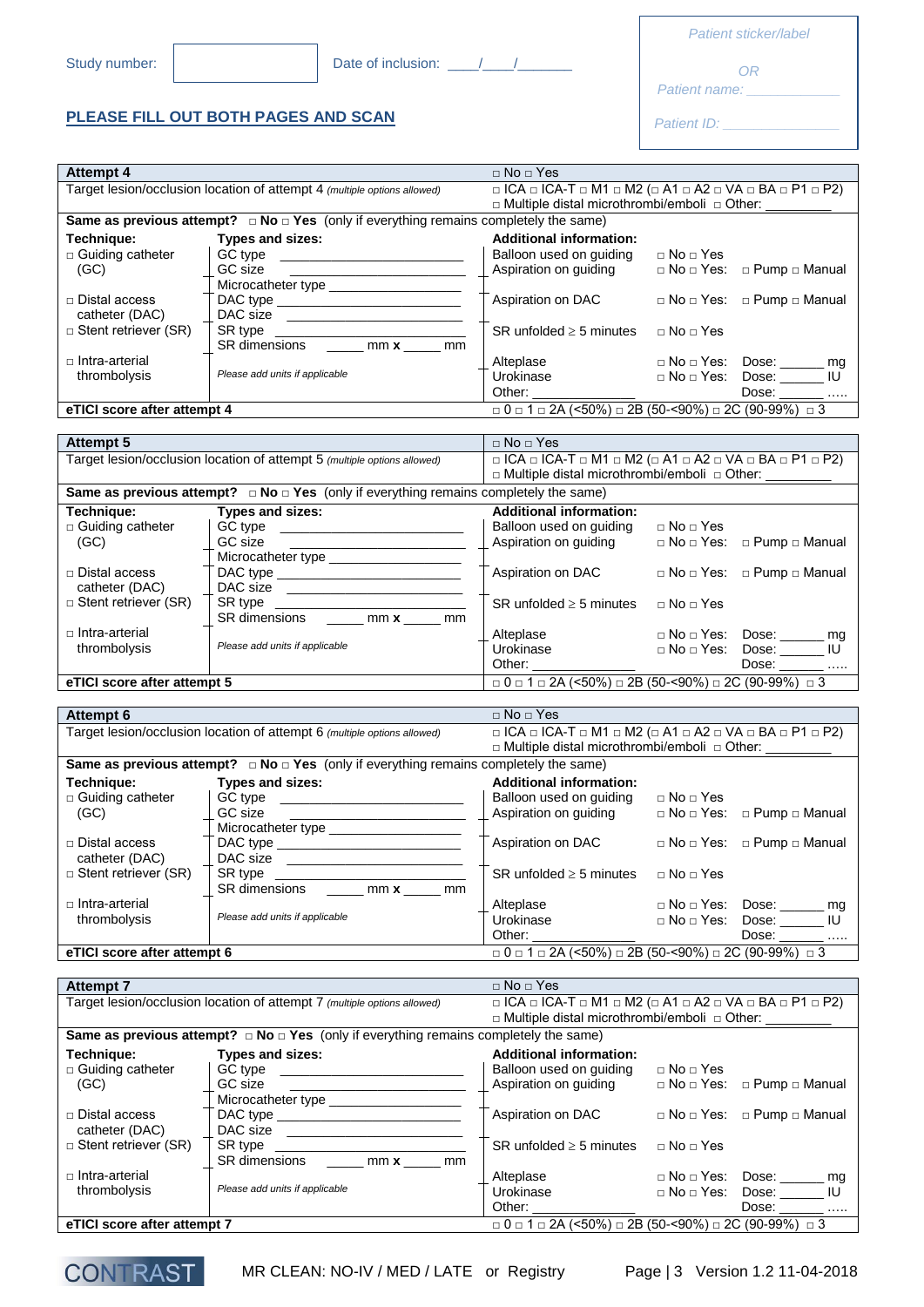□ Distal access catheter (DAC) □ Stent retriever (SR)

□ Intra-arterial thrombolysis

**CONT** 

**PLEASE FILL OUT BOTH PAGES AND SCAN** 

Study number: Date of inclusion: \_\_\_\_/\_\_\_\_/\_\_\_\_\_\_\_

| Patient sticker/labe |  |  |
|----------------------|--|--|
|                      |  |  |

*OR*

*Patient name: \_\_\_\_\_\_\_\_\_\_\_\_*

**Patient ID:** 

| <b>Attempt 4</b>            |                                                                                                                                                                                                                                                 | $\Box$ No $\Box$ Yes                                                                                       |                          |                                                 |
|-----------------------------|-------------------------------------------------------------------------------------------------------------------------------------------------------------------------------------------------------------------------------------------------|------------------------------------------------------------------------------------------------------------|--------------------------|-------------------------------------------------|
|                             | Target lesion/occlusion location of attempt 4 (multiple options allowed)                                                                                                                                                                        | $\Box$ ICA $\Box$ ICA-T $\Box$ M1 $\Box$ M2 ( $\Box$ A1 $\Box$ A2 $\Box$ VA $\Box$ BA $\Box$ P1 $\Box$ P2) |                          |                                                 |
|                             |                                                                                                                                                                                                                                                 | □ Multiple distal microthrombi/emboli □ Other:                                                             |                          |                                                 |
|                             | Same as previous attempt? $\Box$ No $\Box$ Yes (only if everything remains completely the same)                                                                                                                                                 |                                                                                                            |                          |                                                 |
|                             |                                                                                                                                                                                                                                                 |                                                                                                            |                          |                                                 |
| Technique:                  | Types and sizes:                                                                                                                                                                                                                                | <b>Additional information:</b>                                                                             |                          |                                                 |
| □ Guiding catheter          | GC type ___________________________                                                                                                                                                                                                             | Balloon used on quiding                                                                                    | $\Box$ No $\Box$ Yes     |                                                 |
| (GC)                        | GC size<br><u> 1989 - Johann Harry Harry Harry Harry Harry Harry Harry Harry Harry Harry Harry Harry Harry Harry Harry Harry Harry Harry Harry Harry Harry Harry Harry Harry Harry Harry Harry Harry Harry Harry Harry Harry Harry Harry Ha</u> | Aspiration on guiding                                                                                      | $\Box$ No $\Box$ Yes:    | □ Pump □ Manual                                 |
|                             |                                                                                                                                                                                                                                                 |                                                                                                            |                          |                                                 |
| □ Distal access             |                                                                                                                                                                                                                                                 | Aspiration on DAC                                                                                          |                          | $\Box$ No $\Box$ Yes: $\Box$ Pump $\Box$ Manual |
| catheter (DAC)              |                                                                                                                                                                                                                                                 |                                                                                                            |                          |                                                 |
| $\Box$ Stent retriever (SR) |                                                                                                                                                                                                                                                 | $SR$ unfolded $\geq$ 5 minutes                                                                             | $\sqcap$ No $\sqcap$ Yes |                                                 |
|                             | SR dimensions _____ mm x ____ mm                                                                                                                                                                                                                |                                                                                                            |                          |                                                 |
|                             |                                                                                                                                                                                                                                                 |                                                                                                            |                          |                                                 |
| □ Intra-arterial            |                                                                                                                                                                                                                                                 | Alteplase                                                                                                  |                          | □ No □ Yes: Dose: ______ mg                     |
| thrombolysis                | Please add units if applicable                                                                                                                                                                                                                  | Urokinase<br>Other: _______________                                                                        |                          | $\Box$ No $\Box$ Yes: Dose: _______ IU          |
|                             |                                                                                                                                                                                                                                                 |                                                                                                            |                          | Dose: _______                                   |
| eTICI score after attempt 4 |                                                                                                                                                                                                                                                 | $\Box$ 0 $\Box$ 1 $\Box$ 2A (<50%) $\Box$ 2B (50-<90%) $\Box$ 2C (90-99%) $\Box$ 3                         |                          |                                                 |
|                             |                                                                                                                                                                                                                                                 |                                                                                                            |                          |                                                 |
| <b>Attempt 5</b>            |                                                                                                                                                                                                                                                 | $\Box$ No $\Box$ Yes                                                                                       |                          |                                                 |
|                             | Target lesion/occlusion location of attempt 5 (multiple options allowed)                                                                                                                                                                        | $\Box$ ICA $\Box$ ICA-T $\Box$ M1 $\Box$ M2 ( $\Box$ A1 $\Box$ A2 $\Box$ VA $\Box$ BA $\Box$ P1 $\Box$ P2) |                          |                                                 |
|                             |                                                                                                                                                                                                                                                 |                                                                                                            |                          |                                                 |
|                             |                                                                                                                                                                                                                                                 | □ Multiple distal microthrombi/emboli □ Other: __________                                                  |                          |                                                 |
|                             | Same as previous attempt? $\Box$ No $\Box$ Yes (only if everything remains completely the same)                                                                                                                                                 |                                                                                                            |                          |                                                 |
| Technique:                  | <b>Types and sizes:</b>                                                                                                                                                                                                                         | <b>Additional information:</b>                                                                             |                          |                                                 |
| □ Guiding catheter          | GC type _________________________                                                                                                                                                                                                               | Balloon used on guiding                                                                                    | $\Box$ No $\Box$ Yes     |                                                 |
| (GC)                        | GC size                                                                                                                                                                                                                                         | Aspiration on guiding                                                                                      |                          | $\Box$ No $\Box$ Yes: $\Box$ Pump $\Box$ Manual |
|                             | Microcatheter type _____________________                                                                                                                                                                                                        |                                                                                                            |                          |                                                 |
|                             |                                                                                                                                                                                                                                                 |                                                                                                            |                          |                                                 |
| $\sqcap$ Distal access      |                                                                                                                                                                                                                                                 | Aspiration on DAC                                                                                          |                          | $\Box$ No $\Box$ Yes: $\Box$ Pump $\Box$ Manual |
| catheter (DAC)              | DAC size __________________________                                                                                                                                                                                                             |                                                                                                            |                          |                                                 |
| □ Stent retriever (SR)      |                                                                                                                                                                                                                                                 | SR unfolded $\geq$ 5 minutes                                                                               | $\Box$ No $\Box$ Yes     |                                                 |
|                             | SR dimensions ______ mm x _____ mm                                                                                                                                                                                                              |                                                                                                            |                          |                                                 |
| □ Intra-arterial            |                                                                                                                                                                                                                                                 | Alteplase                                                                                                  |                          | $\Box$ No $\Box$ Yes: Dose: _______ mg          |
| thrombolysis                | Please add units if applicable                                                                                                                                                                                                                  | Urokinase                                                                                                  |                          | □ No □ Yes: Dose: ______ IU                     |
|                             |                                                                                                                                                                                                                                                 | Other:                                                                                                     |                          | Dose: _______                                   |
| eTICI score after attempt 5 |                                                                                                                                                                                                                                                 | $\Box$ 0 $\Box$ 1 $\Box$ 2A (<50%) $\Box$ 2B (50-<90%) $\Box$ 2C (90-99%) $\Box$ 3                         |                          |                                                 |
|                             |                                                                                                                                                                                                                                                 |                                                                                                            |                          |                                                 |
|                             |                                                                                                                                                                                                                                                 |                                                                                                            |                          |                                                 |
| Attempt 6                   |                                                                                                                                                                                                                                                 | $\Box$ No $\Box$ Yes                                                                                       |                          |                                                 |
|                             | Target lesion/occlusion location of attempt 6 (multiple options allowed)                                                                                                                                                                        | □ ICA □ ICA-T □ M1 □ M2 (□ A1 □ A2 □ VA □ BA □ P1 □ P2)                                                    |                          |                                                 |
|                             |                                                                                                                                                                                                                                                 | □ Multiple distal microthrombi/emboli □ Other:                                                             |                          |                                                 |
|                             | Same as previous attempt? $\Box$ No $\Box$ Yes (only if everything remains completely the same)                                                                                                                                                 |                                                                                                            |                          |                                                 |
| Technique:                  | Types and sizes:                                                                                                                                                                                                                                | <b>Additional information:</b>                                                                             |                          |                                                 |
| □ Guiding catheter          |                                                                                                                                                                                                                                                 | Balloon used on guiding                                                                                    | $\Box$ No $\Box$ Yes     |                                                 |
|                             | GC size                                                                                                                                                                                                                                         | Aspiration on guiding                                                                                      |                          | □ No □ Yes: □ Pump □ Manual                     |
| (GC)                        |                                                                                                                                                                                                                                                 |                                                                                                            |                          |                                                 |
|                             | Microcatheter type                                                                                                                                                                                                                              |                                                                                                            |                          |                                                 |
| □ Distal access             |                                                                                                                                                                                                                                                 | Aspiration on DAC                                                                                          |                          | $\Box$ No $\Box$ Yes: $\Box$ Pump $\Box$ Manual |
| catheter (DAC)              |                                                                                                                                                                                                                                                 |                                                                                                            |                          |                                                 |
| □ Stent retriever (SR)      | SR type _____________________                                                                                                                                                                                                                   | SR unfolded $\geq$ 5 minutes                                                                               | $\Box$ No $\Box$ Yes     |                                                 |
|                             | SR dimensions _____ mm x _____ mm                                                                                                                                                                                                               |                                                                                                            |                          |                                                 |
| □ Intra-arterial            |                                                                                                                                                                                                                                                 | Alteplase                                                                                                  |                          | $\Box$ No $\Box$ Yes: Dose: mg                  |
| thrombolysis                | Please add units if applicable                                                                                                                                                                                                                  | Urokinase                                                                                                  | □ No □ Yes:              | Dose: _______ IU                                |
|                             |                                                                                                                                                                                                                                                 | Other:                                                                                                     |                          | Dose: _______                                   |
|                             |                                                                                                                                                                                                                                                 |                                                                                                            |                          |                                                 |
| eTICI score after attempt 6 |                                                                                                                                                                                                                                                 | $\Box$ 0 $\Box$ 1 $\Box$ 2A (<50%) $\Box$ 2B (50-<90%) $\Box$ 2C (90-99%) $\Box$ 3                         |                          |                                                 |
|                             |                                                                                                                                                                                                                                                 |                                                                                                            |                          |                                                 |
| <b>Attempt 7</b>            |                                                                                                                                                                                                                                                 | $\Box$ No $\Box$ Yes                                                                                       |                          |                                                 |
|                             | Target lesion/occlusion location of attempt 7 (multiple options allowed)                                                                                                                                                                        | $\Box$ ICA $\Box$ ICA-T $\Box$ M1 $\Box$ M2 ( $\Box$ A1 $\Box$ A2 $\Box$ VA $\Box$ BA $\Box$ P1 $\Box$ P2) |                          |                                                 |
|                             |                                                                                                                                                                                                                                                 | □ Multiple distal microthrombi/emboli □ Other: _                                                           |                          |                                                 |
|                             | Same as previous attempt? $\Box$ No $\Box$ Yes (only if everything remains completely the same)                                                                                                                                                 |                                                                                                            |                          |                                                 |
|                             |                                                                                                                                                                                                                                                 |                                                                                                            |                          |                                                 |
| Technique:                  | Types and sizes:                                                                                                                                                                                                                                | <b>Additional information:</b>                                                                             |                          |                                                 |
| □ Guiding catheter          | GC type<br><u> 1989 - Johann John Stone, mars et al. (</u>                                                                                                                                                                                      | Balloon used on guiding                                                                                    | $\Box$ No $\Box$ Yes     |                                                 |
| (GC)                        | GC size<br>the control of the control of the control of the control of                                                                                                                                                                          | Aspiration on guiding                                                                                      |                          | $\Box$ No $\Box$ Yes: $\Box$ Pump $\Box$ Manual |
|                             | Microcatheter type __________                                                                                                                                                                                                                   |                                                                                                            |                          |                                                 |

SR type \_\_\_\_\_\_\_\_\_\_\_\_\_\_\_\_\_\_\_\_\_\_\_\_\_\_ SR dimensions \_\_\_\_\_ mm **x** \_\_\_\_\_ mm

**eTICI score after attempt 7** □ 0 □ 1 □ 2A (<50%) □ 2B (50-<90%) □ 2C (90-99%) □ 3

DAC type DAC size

*Please add units if applicable*

Aspiration on DAC □ No □ Yes: □ Pump □ Manual

Alteplase □ No □ Yes: Dose: \_\_\_\_\_\_ mg<br>Urokinase □ No □ Yes: Dose: \_\_\_\_\_\_ IU Urokinase □ No □ Yes: Dose: \_\_\_\_\_\_ IU Other: \_\_\_\_\_\_\_\_\_\_\_\_\_\_ Dose: \_\_\_\_\_\_ …..

SR unfolded  $\geq$  5 minutes  $\Box$  No  $\Box$  Yes